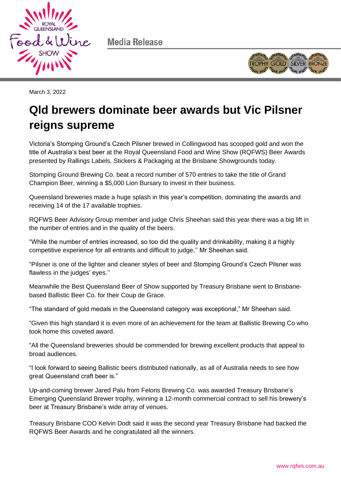

Media Release



March 3, 2022

# **Qld brewers dominate beer awards but Vic Pilsner reigns supreme**

Victoria's Stomping Ground's Czech Pilsner brewed in Collingwood has scooped gold and won the title of Australia's best beer at the Royal Queensland Food and Wine Show (RQFWS) Beer Awards presented by Rallings Labels, Stickers & Packaging at the Brisbane Showgrounds today.

Stomping Ground Brewing Co. beat a record number of 570 entries to take the title of Grand Champion Beer, winning a \$5,000 Lion Bursary to invest in their business.

Queensland breweries made a huge splash in this year's competition, dominating the awards and receiving 14 of the 17 available trophies.

RQFWS Beer Advisory Group member and judge Chris Sheehan said this year there was a big lift in the number of entries and in the quality of the beers.

"While the number of entries increased, so too did the quality and drinkability, making it a highly competitive experience for all entrants and difficult to judge,'' Mr Sheehan said.

"Pilsner is one of the lighter and cleaner styles of beer and Stomping Ground's Czech Pilsner was flawless in the judges' eyes."

Meanwhile the Best Queensland Beer of Show supported by Treasury Brisbane went to Brisbanebased Ballistic Beer Co. for their Coup de Grace.

"The standard of gold medals in the Queensland category was exceptional," Mr Sheehan said.

"Given this high standard it is even more of an achievement for the team at Ballistic Brewing Co who took home this coveted award.

"All the Queensland breweries should be commended for brewing excellent products that appeal to broad audiences.

"I look forward to seeing Ballistic beers distributed nationally, as all of Australia needs to see how great Queensland craft beer is."

Up-and-coming brewer Jared Palu from Felons Brewing Co. was awarded Treasury Brisbane's Emerging Queensland Brewer trophy, winning a 12-month commercial contract to sell his brewery's beer at Treasury Brisbane's wide array of venues.

Treasury Brisbane COO Kelvin Dodt said it was the second year Treasury Brisbane had backed the RQFWS Beer Awards and he congratulated all the winners.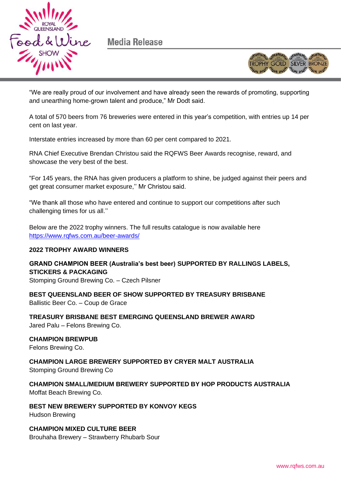

Media Release



"We are really proud of our involvement and have already seen the rewards of promoting, supporting and unearthing home-grown talent and produce," Mr Dodt said.

A total of 570 beers from 76 breweries were entered in this year's competition, with entries up 14 per cent on last year.

Interstate entries increased by more than 60 per cent compared to 2021.

RNA Chief Executive Brendan Christou said the RQFWS Beer Awards recognise, reward, and showcase the very best of the best.

"For 145 years, the RNA has given producers a platform to shine, be judged against their peers and get great consumer market exposure,'' Mr Christou said.

"We thank all those who have entered and continue to support our competitions after such challenging times for us all.''

Below are the 2022 trophy winners. The full results catalogue is now available here <https://www.rqfws.com.au/beer-awards/>

#### **2022 TROPHY AWARD WINNERS**

**GRAND CHAMPION BEER (Australia's best beer) SUPPORTED BY RALLINGS LABELS, STICKERS & PACKAGING**

Stomping Ground Brewing Co. – Czech Pilsner

**BEST QUEENSLAND BEER OF SHOW SUPPORTED BY TREASURY BRISBANE** Ballistic Beer Co. – Coup de Grace

**TREASURY BRISBANE BEST EMERGING QUEENSLAND BREWER AWARD** Jared Palu – Felons Brewing Co.

## **CHAMPION BREWPUB**

Felons Brewing Co.

## **CHAMPION LARGE BREWERY SUPPORTED BY CRYER MALT AUSTRALIA**

Stomping Ground Brewing Co

**CHAMPION SMALL/MEDIUM BREWERY SUPPORTED BY HOP PRODUCTS AUSTRALIA** Moffat Beach Brewing Co.

**BEST NEW BREWERY SUPPORTED BY KONVOY KEGS** Hudson Brewing

**CHAMPION MIXED CULTURE BEER** Brouhaha Brewery – Strawberry Rhubarb Sour